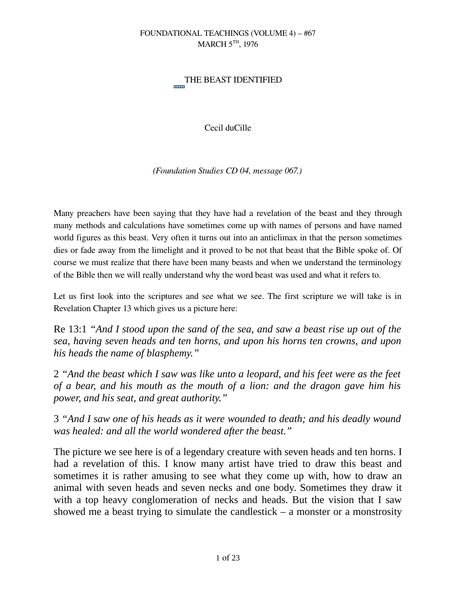#### THE BEAST IDENTIFIED  $\overline{a}$

Cecil duCille

*(Foundation Studies CD 04, message 067.)*

Many preachers have been saying that they have had a revelation of the beast and they through many methods and calculations have sometimes come up with names of persons and have named world figures as this beast. Very often it turns out into an anticlimax in that the person sometimes dies or fade away from the limelight and it proved to be not that beast that the Bible spoke of. Of course we must realize that there have been many beasts and when we understand the terminology of the Bible then we will really understand why the word beast was used and what it refers to.

Let us first look into the scriptures and see what we see. The first scripture we will take is in Revelation Chapter 13 which gives us a picture here:

Re 13:1 *"And I stood upon the sand of the sea, and saw a beast rise up out of the sea, having seven heads and ten horns, and upon his horns ten crowns, and upon his heads the name of blasphemy."*

2 *"And the beast which I saw was like unto a leopard, and his feet were as the feet of a bear, and his mouth as the mouth of a lion: and the dragon gave him his power, and his seat, and great authority."*

3 *"And I saw one of his heads as it were wounded to death; and his deadly wound was healed: and all the world wondered after the beast."*

The picture we see here is of a legendary creature with seven heads and ten horns. I had a revelation of this. I know many artist have tried to draw this beast and sometimes it is rather amusing to see what they come up with, how to draw an animal with seven heads and seven necks and one body. Sometimes they draw it with a top heavy conglomeration of necks and heads. But the vision that I saw showed me a beast trying to simulate the candlestick  $-$  a monster or a monstrosity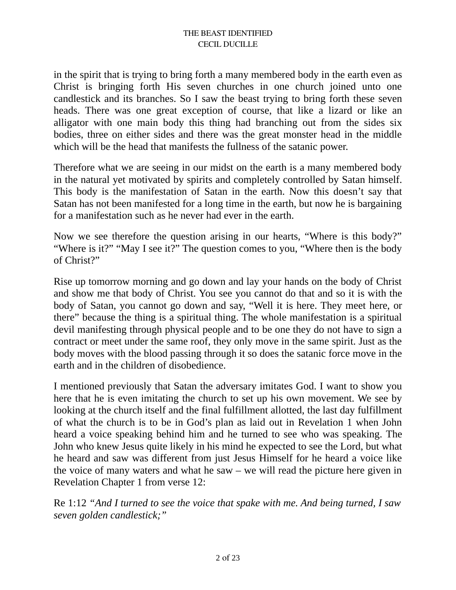in the spirit that is trying to bring forth a many membered body in the earth even as Christ is bringing forth His seven churches in one church joined unto one candlestick and its branches. So I saw the beast trying to bring forth these seven heads. There was one great exception of course, that like a lizard or like an alligator with one main body this thing had branching out from the sides six bodies, three on either sides and there was the great monster head in the middle which will be the head that manifests the fullness of the satanic power.

Therefore what we are seeing in our midst on the earth is a many membered body in the natural yet motivated by spirits and completely controlled by Satan himself. This body is the manifestation of Satan in the earth. Now this doesn't say that Satan has not been manifested for a long time in the earth, but now he is bargaining for a manifestation such as he never had ever in the earth.

Now we see therefore the question arising in our hearts, "Where is this body?" "Where is it?" "May I see it?" The question comes to you, "Where then is the body of Christ?"

Rise up tomorrow morning and go down and lay your hands on the body of Christ and show me that body of Christ. You see you cannot do that and so it is with the body of Satan, you cannot go down and say, "Well it is here. They meet here, or there" because the thing is a spiritual thing. The whole manifestation is a spiritual devil manifesting through physical people and to be one they do not have to sign a contract or meet under the same roof, they only move in the same spirit. Just as the body moves with the blood passing through it so does the satanic force move in the earth and in the children of disobedience.

I mentioned previously that Satan the adversary imitates God. I want to show you here that he is even imitating the church to set up his own movement. We see by looking at the church itself and the final fulfillment allotted, the last day fulfillment of what the church is to be in God's plan as laid out in Revelation 1 when John heard a voice speaking behind him and he turned to see who was speaking. The John who knew Jesus quite likely in his mind he expected to see the Lord, but what he heard and saw was different from just Jesus Himself for he heard a voice like the voice of many waters and what he saw – we will read the picture here given in Revelation Chapter 1 from verse 12:

Re 1:12 *"And I turned to see the voice that spake with me. And being turned, I saw seven golden candlestick;"*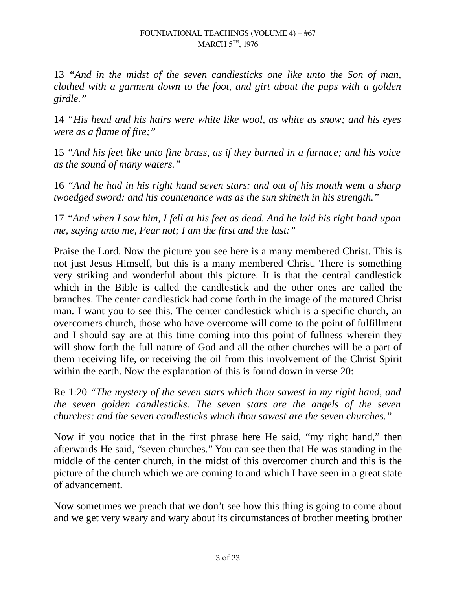13 *"And in the midst of the seven candlesticks one like unto the Son of man, clothed with a garment down to the foot, and girt about the paps with a golden girdle."*

14 *"His head and his hairs were white like wool, as white as snow; and his eyes were as a flame of fire;"*

15 *"And his feet like unto fine brass, as if they burned in a furnace; and his voice as the sound of many waters."*

16 *"And he had in his right hand seven stars: and out of his mouth went a sharp twoedged sword: and his countenance was as the sun shineth in his strength."*

17 *"And when I saw him, I fell at his feet as dead. And he laid his right hand upon me, saying unto me, Fear not; I am the first and the last:"*

Praise the Lord. Now the picture you see here is a many membered Christ. This is not just Jesus Himself, but this is a many membered Christ. There is something very striking and wonderful about this picture. It is that the central candlestick which in the Bible is called the candlestick and the other ones are called the branches. The center candlestick had come forth in the image of the matured Christ man. I want you to see this. The center candlestick which is a specific church, an overcomers church, those who have overcome will come to the point of fulfillment and I should say are at this time coming into this point of fullness wherein they will show forth the full nature of God and all the other churches will be a part of them receiving life, or receiving the oil from this involvement of the Christ Spirit within the earth. Now the explanation of this is found down in verse 20:

Re 1:20 *"The mystery of the seven stars which thou sawest in my right hand, and the seven golden candlesticks. The seven stars are the angels of the seven churches: and the seven candlesticks which thou sawest are the seven churches."*

Now if you notice that in the first phrase here He said, "my right hand," then afterwards He said, "seven churches." You can see then that He was standing in the middle of the center church, in the midst of this overcomer church and this is the picture of the church which we are coming to and which I have seen in a great state of advancement.

Now sometimes we preach that we don't see how this thing is going to come about and we get very weary and wary about its circumstances of brother meeting brother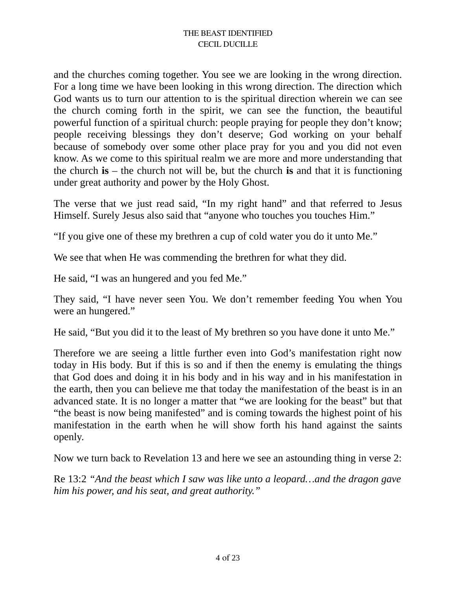and the churches coming together. You see we are looking in the wrong direction. For a long time we have been looking in this wrong direction. The direction which God wants us to turn our attention to is the spiritual direction wherein we can see the church coming forth in the spirit, we can see the function, the beautiful powerful function of a spiritual church: people praying for people they don't know; people receiving blessings they don't deserve; God working on your behalf because of somebody over some other place pray for you and you did not even know. As we come to this spiritual realm we are more and more understanding that the church **is** – the church not will be, but the church **is** and that it is functioning under great authority and power by the Holy Ghost.

The verse that we just read said, "In my right hand" and that referred to Jesus Himself. Surely Jesus also said that "anyone who touches you touches Him."

"If you give one of these my brethren a cup of cold water you do it unto Me."

We see that when He was commending the brethren for what they did.

He said, "I was an hungered and you fed Me."

They said, "I have never seen You. We don't remember feeding You when You were an hungered."

He said, "But you did it to the least of My brethren so you have done it unto Me."

Therefore we are seeing a little further even into God's manifestation right now today in His body. But if this is so and if then the enemy is emulating the things that God does and doing it in his body and in his way and in his manifestation in the earth, then you can believe me that today the manifestation of the beast is in an advanced state. It is no longer a matter that "we are looking for the beast" but that "the beast is now being manifested" and is coming towards the highest point of his manifestation in the earth when he will show forth his hand against the saints openly.

Now we turn back to Revelation 13 and here we see an astounding thing in verse 2:

Re 13:2 *"And the beast which I saw was like unto a leopard…and the dragon gave him his power, and his seat, and great authority."*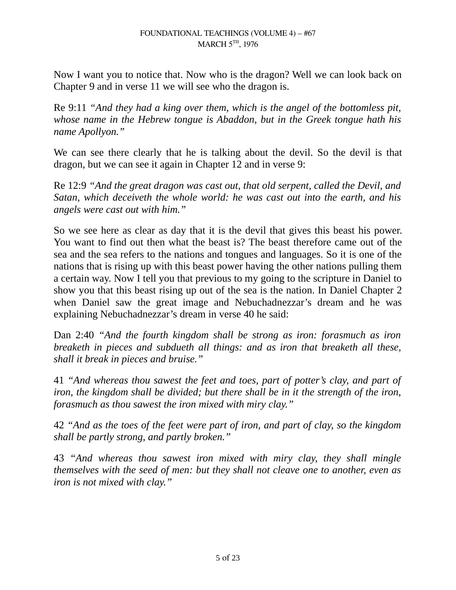Now I want you to notice that. Now who is the dragon? Well we can look back on Chapter 9 and in verse 11 we will see who the dragon is.

Re 9:11 *"And they had a king over them, which is the angel of the bottomless pit, whose name in the Hebrew tongue is Abaddon, but in the Greek tongue hath his name Apollyon."*

We can see there clearly that he is talking about the devil. So the devil is that dragon, but we can see it again in Chapter 12 and in verse 9:

Re 12:9 *"And the great dragon was cast out, that old serpent, called the Devil, and Satan, which deceiveth the whole world: he was cast out into the earth, and his angels were cast out with him."*

So we see here as clear as day that it is the devil that gives this beast his power. You want to find out then what the beast is? The beast therefore came out of the sea and the sea refers to the nations and tongues and languages. So it is one of the nations that is rising up with this beast power having the other nations pulling them a certain way. Now I tell you that previous to my going to the scripture in Daniel to show you that this beast rising up out of the sea is the nation. In Daniel Chapter 2 when Daniel saw the great image and Nebuchadnezzar's dream and he was explaining Nebuchadnezzar's dream in verse 40 he said:

Dan 2:40 *"And the fourth kingdom shall be strong as iron: forasmuch as iron breaketh in pieces and subdueth all things: and as iron that breaketh all these, shall it break in pieces and bruise."*

41 *"And whereas thou sawest the feet and toes, part of potter's clay, and part of iron, the kingdom shall be divided; but there shall be in it the strength of the iron, forasmuch as thou sawest the iron mixed with miry clay."*

42 *"And as the toes of the feet were part of iron, and part of clay, so the kingdom shall be partly strong, and partly broken."*

43 *"And whereas thou sawest iron mixed with miry clay, they shall mingle themselves with the seed of men: but they shall not cleave one to another, even as iron is not mixed with clay."*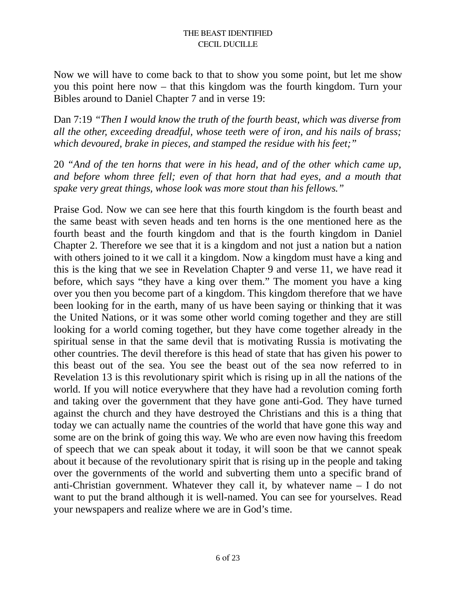Now we will have to come back to that to show you some point, but let me show you this point here now – that this kingdom was the fourth kingdom. Turn your Bibles around to Daniel Chapter 7 and in verse 19:

Dan 7:19 *"Then I would know the truth of the fourth beast, which was diverse from all the other, exceeding dreadful, whose teeth were of iron, and his nails of brass; which devoured, brake in pieces, and stamped the residue with his feet;"*

20 *"And of the ten horns that were in his head, and of the other which came up, and before whom three fell; even of that horn that had eyes, and a mouth that spake very great things, whose look was more stout than his fellows."*

Praise God. Now we can see here that this fourth kingdom is the fourth beast and the same beast with seven heads and ten horns is the one mentioned here as the fourth beast and the fourth kingdom and that is the fourth kingdom in Daniel Chapter 2. Therefore we see that it is a kingdom and not just a nation but a nation with others joined to it we call it a kingdom. Now a kingdom must have a king and this is the king that we see in Revelation Chapter 9 and verse 11, we have read it before, which says "they have a king over them." The moment you have a king over you then you become part of a kingdom. This kingdom therefore that we have been looking for in the earth, many of us have been saying or thinking that it was the United Nations, or it was some other world coming together and they are still looking for a world coming together, but they have come together already in the spiritual sense in that the same devil that is motivating Russia is motivating the other countries. The devil therefore is this head of state that has given his power to this beast out of the sea. You see the beast out of the sea now referred to in Revelation 13 is this revolutionary spirit which is rising up in all the nations of the world. If you will notice everywhere that they have had a revolution coming forth and taking over the government that they have gone anti-God. They have turned against the church and they have destroyed the Christians and this is a thing that today we can actually name the countries of the world that have gone this way and some are on the brink of going this way. We who are even now having this freedom of speech that we can speak about it today, it will soon be that we cannot speak about it because of the revolutionary spirit that is rising up in the people and taking over the governments of the world and subverting them unto a specific brand of anti-Christian government. Whatever they call it, by whatever name  $-$  I do not want to put the brand although it is well-named. You can see for yourselves. Read your newspapers and realize where we are in God's time.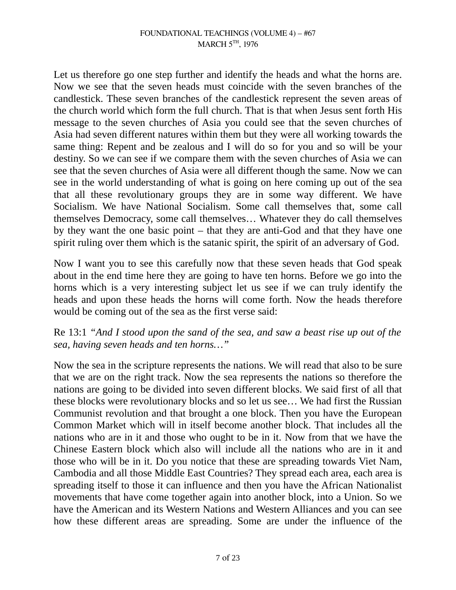Let us therefore go one step further and identify the heads and what the horns are. Now we see that the seven heads must coincide with the seven branches of the candlestick. These seven branches of the candlestick represent the seven areas of the church world which form the full church. That is that when Jesus sent forth His message to the seven churches of Asia you could see that the seven churches of Asia had seven different natures within them but they were all working towards the same thing: Repent and be zealous and I will do so for you and so will be your destiny. So we can see if we compare them with the seven churches of Asia we can see that the seven churches of Asia were all different though the same. Now we can see in the world understanding of what is going on here coming up out of the sea that all these revolutionary groups they are in some way different. We have Socialism. We have National Socialism. Some call themselves that, some call themselves Democracy, some call themselves… Whatever they do call themselves by they want the one basic point – that they are anti-God and that they have one spirit ruling over them which is the satanic spirit, the spirit of an adversary of God.

Now I want you to see this carefully now that these seven heads that God speak about in the end time here they are going to have ten horns. Before we go into the horns which is a very interesting subject let us see if we can truly identify the heads and upon these heads the horns will come forth. Now the heads therefore would be coming out of the sea as the first verse said:

Re 13:1 *"And I stood upon the sand of the sea, and saw a beast rise up out of the sea, having seven heads and ten horns…"*

Now the sea in the scripture represents the nations. We will read that also to be sure that we are on the right track. Now the sea represents the nations so therefore the nations are going to be divided into seven different blocks. We said first of all that these blocks were revolutionary blocks and so let us see… We had first the Russian Communist revolution and that brought a one block. Then you have the European Common Market which will in itself become another block. That includes all the nations who are in it and those who ought to be in it. Now from that we have the Chinese Eastern block which also will include all the nations who are in it and those who will be in it. Do you notice that these are spreading towards Viet Nam, Cambodia and all those Middle East Countries? They spread each area, each area is spreading itself to those it can influence and then you have the African Nationalist movements that have come together again into another block, into a Union. So we have the American and its Western Nations and Western Alliances and you can see how these different areas are spreading. Some are under the influence of the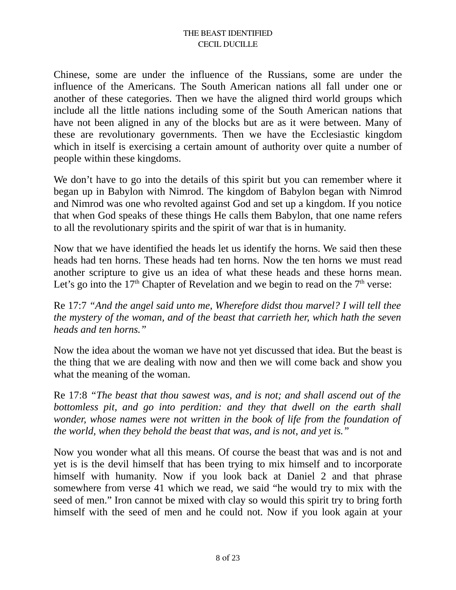Chinese, some are under the influence of the Russians, some are under the influence of the Americans. The South American nations all fall under one or another of these categories. Then we have the aligned third world groups which include all the little nations including some of the South American nations that have not been aligned in any of the blocks but are as it were between. Many of these are revolutionary governments. Then we have the Ecclesiastic kingdom which in itself is exercising a certain amount of authority over quite a number of people within these kingdoms.

We don't have to go into the details of this spirit but you can remember where it began up in Babylon with Nimrod. The kingdom of Babylon began with Nimrod and Nimrod was one who revolted against God and set up a kingdom. If you notice that when God speaks of these things He calls them Babylon, that one name refers to all the revolutionary spirits and the spirit of war that is in humanity.

Now that we have identified the heads let us identify the horns. We said then these heads had ten horns. These heads had ten horns. Now the ten horns we must read another scripture to give us an idea of what these heads and these horns mean. Let's go into the  $17<sup>th</sup>$  Chapter of Revelation and we begin to read on the  $7<sup>th</sup>$  verse:

Re 17:7 *"And the angel said unto me, Wherefore didst thou marvel? I will tell thee the mystery of the woman, and of the beast that carrieth her, which hath the seven heads and ten horns."*

Now the idea about the woman we have not yet discussed that idea. But the beast is the thing that we are dealing with now and then we will come back and show you what the meaning of the woman.

Re 17:8 *"The beast that thou sawest was, and is not; and shall ascend out of the bottomless pit, and go into perdition: and they that dwell on the earth shall wonder, whose names were not written in the book of life from the foundation of the world, when they behold the beast that was, and is not, and yet is."*

Now you wonder what all this means. Of course the beast that was and is not and yet is is the devil himself that has been trying to mix himself and to incorporate himself with humanity. Now if you look back at Daniel 2 and that phrase somewhere from verse 41 which we read, we said "he would try to mix with the seed of men." Iron cannot be mixed with clay so would this spirit try to bring forth himself with the seed of men and he could not. Now if you look again at your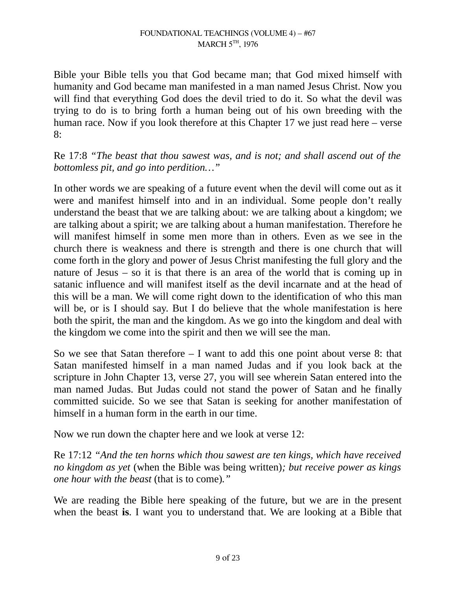Bible your Bible tells you that God became man; that God mixed himself with humanity and God became man manifested in a man named Jesus Christ. Now you will find that everything God does the devil tried to do it. So what the devil was trying to do is to bring forth a human being out of his own breeding with the human race. Now if you look therefore at this Chapter 17 we just read here – verse 8:

Re 17:8 *"The beast that thou sawest was, and is not; and shall ascend out of the bottomless pit, and go into perdition…"*

In other words we are speaking of a future event when the devil will come out as it were and manifest himself into and in an individual. Some people don't really understand the beast that we are talking about: we are talking about a kingdom; we are talking about a spirit; we are talking about a human manifestation. Therefore he will manifest himself in some men more than in others. Even as we see in the church there is weakness and there is strength and there is one church that will come forth in the glory and power of Jesus Christ manifesting the full glory and the nature of Jesus – so it is that there is an area of the world that is coming up in satanic influence and will manifest itself as the devil incarnate and at the head of this will be a man. We will come right down to the identification of who this man will be, or is I should say. But I do believe that the whole manifestation is here both the spirit, the man and the kingdom. As we go into the kingdom and deal with the kingdom we come into the spirit and then we will see the man.

So we see that Satan therefore  $-1$  want to add this one point about verse 8: that Satan manifested himself in a man named Judas and if you look back at the scripture in John Chapter 13, verse 27, you will see wherein Satan entered into the man named Judas. But Judas could not stand the power of Satan and he finally committed suicide. So we see that Satan is seeking for another manifestation of himself in a human form in the earth in our time.

Now we run down the chapter here and we look at verse 12:

Re 17:12 *"And the ten horns which thou sawest are ten kings, which have received no kingdom as yet* (when the Bible was being written)*; but receive power as kings one hour with the beast* (that is to come)*."*

We are reading the Bible here speaking of the future, but we are in the present when the beast **is**. I want you to understand that. We are looking at a Bible that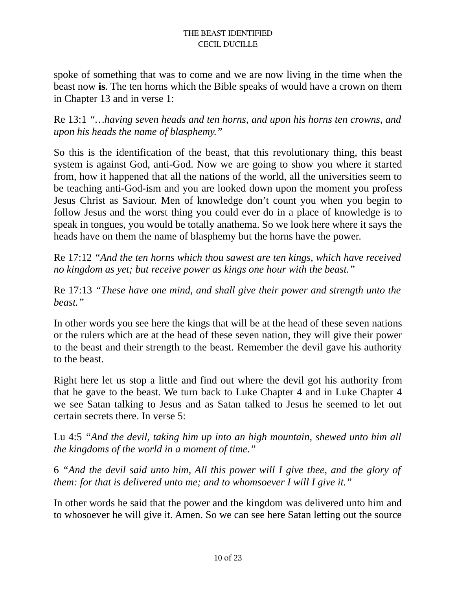spoke of something that was to come and we are now living in the time when the beast now **is**. The ten horns which the Bible speaks of would have a crown on them in Chapter 13 and in verse 1:

Re 13:1 *"…having seven heads and ten horns, and upon his horns ten crowns, and upon his heads the name of blasphemy."*

So this is the identification of the beast, that this revolutionary thing, this beast system is against God, anti-God. Now we are going to show you where it started from, how it happened that all the nations of the world, all the universities seem to be teaching anti-God-ism and you are looked down upon the moment you profess Jesus Christ as Saviour. Men of knowledge don't count you when you begin to follow Jesus and the worst thing you could ever do in a place of knowledge is to speak in tongues, you would be totally anathema. So we look here where it says the heads have on them the name of blasphemy but the horns have the power.

Re 17:12 *"And the ten horns which thou sawest are ten kings, which have received no kingdom as yet; but receive power as kings one hour with the beast."*

Re 17:13 *"These have one mind, and shall give their power and strength unto the beast."*

In other words you see here the kings that will be at the head of these seven nations or the rulers which are at the head of these seven nation, they will give their power to the beast and their strength to the beast. Remember the devil gave his authority to the beast.

Right here let us stop a little and find out where the devil got his authority from that he gave to the beast. We turn back to Luke Chapter 4 and in Luke Chapter 4 we see Satan talking to Jesus and as Satan talked to Jesus he seemed to let out certain secrets there. In verse 5:

Lu 4:5 *"And the devil, taking him up into an high mountain, shewed unto him all the kingdoms of the world in a moment of time."*

6 *"And the devil said unto him, All this power will I give thee, and the glory of them: for that is delivered unto me; and to whomsoever I will I give it."*

In other words he said that the power and the kingdom was delivered unto him and to whosoever he will give it. Amen. So we can see here Satan letting out the source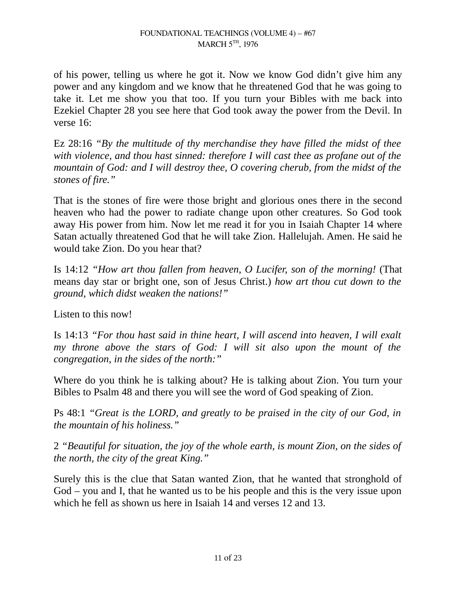of his power, telling us where he got it. Now we know God didn't give him any power and any kingdom and we know that he threatened God that he was going to take it. Let me show you that too. If you turn your Bibles with me back into Ezekiel Chapter 28 you see here that God took away the power from the Devil. In verse 16:

Ez 28:16 *"By the multitude of thy merchandise they have filled the midst of thee with violence, and thou hast sinned: therefore I will cast thee as profane out of the mountain of God: and I will destroy thee, O covering cherub, from the midst of the stones of fire."*

That is the stones of fire were those bright and glorious ones there in the second heaven who had the power to radiate change upon other creatures. So God took away His power from him. Now let me read it for you in Isaiah Chapter 14 where Satan actually threatened God that he will take Zion. Hallelujah. Amen. He said he would take Zion. Do you hear that?

Is 14:12 *"How art thou fallen from heaven, O Lucifer, son of the morning!* (That means day star or bright one, son of Jesus Christ.) *how art thou cut down to the ground, which didst weaken the nations!"*

Listen to this now!

Is 14:13 *"For thou hast said in thine heart, I will ascend into heaven, I will exalt my throne above the stars of God: I will sit also upon the mount of the congregation, in the sides of the north:"*

Where do you think he is talking about? He is talking about Zion. You turn your Bibles to Psalm 48 and there you will see the word of God speaking of Zion.

Ps 48:1 *"Great is the LORD, and greatly to be praised in the city of our God, in the mountain of his holiness."*

2 *"Beautiful for situation, the joy of the whole earth, is mount Zion, on the sides of the north, the city of the great King."*

Surely this is the clue that Satan wanted Zion, that he wanted that stronghold of God – you and I, that he wanted us to be his people and this is the very issue upon which he fell as shown us here in Isaiah 14 and verses 12 and 13.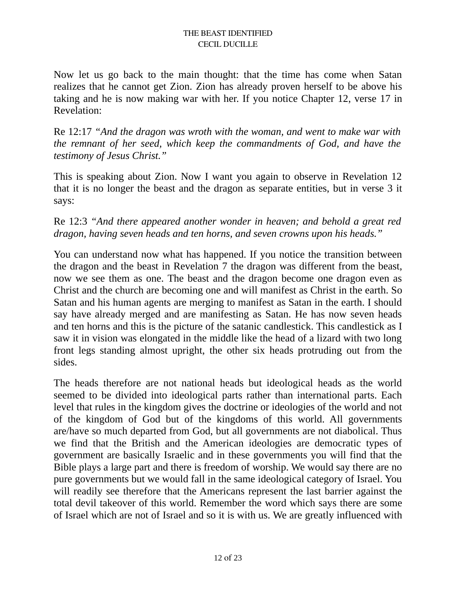Now let us go back to the main thought: that the time has come when Satan realizes that he cannot get Zion. Zion has already proven herself to be above his taking and he is now making war with her. If you notice Chapter 12, verse 17 in Revelation:

Re 12:17 *"And the dragon was wroth with the woman, and went to make war with the remnant of her seed, which keep the commandments of God, and have the testimony of Jesus Christ."*

This is speaking about Zion. Now I want you again to observe in Revelation 12 that it is no longer the beast and the dragon as separate entities, but in verse 3 it says:

Re 12:3 *"And there appeared another wonder in heaven; and behold a great red dragon, having seven heads and ten horns, and seven crowns upon his heads."*

You can understand now what has happened. If you notice the transition between the dragon and the beast in Revelation 7 the dragon was different from the beast, now we see them as one. The beast and the dragon become one dragon even as Christ and the church are becoming one and will manifest as Christ in the earth. So Satan and his human agents are merging to manifest as Satan in the earth. I should say have already merged and are manifesting as Satan. He has now seven heads and ten horns and this is the picture of the satanic candlestick. This candlestick as I saw it in vision was elongated in the middle like the head of a lizard with two long front legs standing almost upright, the other six heads protruding out from the sides.

The heads therefore are not national heads but ideological heads as the world seemed to be divided into ideological parts rather than international parts. Each level that rules in the kingdom gives the doctrine or ideologies of the world and not of the kingdom of God but of the kingdoms of this world. All governments are/have so much departed from God, but all governments are not diabolical. Thus we find that the British and the American ideologies are democratic types of government are basically Israelic and in these governments you will find that the Bible plays a large part and there is freedom of worship. We would say there are no pure governments but we would fall in the same ideological category of Israel. You will readily see therefore that the Americans represent the last barrier against the total devil takeover of this world. Remember the word which says there are some of Israel which are not of Israel and so it is with us. We are greatly influenced with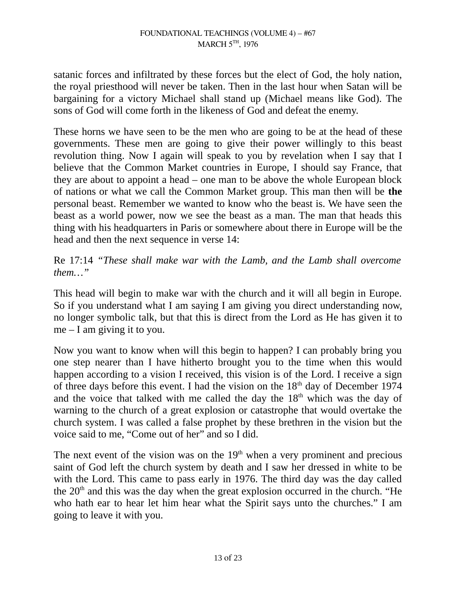satanic forces and infiltrated by these forces but the elect of God, the holy nation, the royal priesthood will never be taken. Then in the last hour when Satan will be bargaining for a victory Michael shall stand up (Michael means like God). The sons of God will come forth in the likeness of God and defeat the enemy.

These horns we have seen to be the men who are going to be at the head of these governments. These men are going to give their power willingly to this beast revolution thing. Now I again will speak to you by revelation when I say that I believe that the Common Market countries in Europe, I should say France, that they are about to appoint a head – one man to be above the whole European block of nations or what we call the Common Market group. This man then will be **the** personal beast. Remember we wanted to know who the beast is. We have seen the beast as a world power, now we see the beast as a man. The man that heads this thing with his headquarters in Paris or somewhere about there in Europe will be the head and then the next sequence in verse 14:

Re 17:14 *"These shall make war with the Lamb, and the Lamb shall overcome them…"*

This head will begin to make war with the church and it will all begin in Europe. So if you understand what I am saying I am giving you direct understanding now, no longer symbolic talk, but that this is direct from the Lord as He has given it to  $me - I$  am giving it to you.

Now you want to know when will this begin to happen? I can probably bring you one step nearer than I have hitherto brought you to the time when this would happen according to a vision I received, this vision is of the Lord. I receive a sign of three days before this event. I had the vision on the  $18<sup>th</sup>$  day of December 1974 and the voice that talked with me called the day the  $18<sup>th</sup>$  which was the day of warning to the church of a great explosion or catastrophe that would overtake the church system. I was called a false prophet by these brethren in the vision but the voice said to me, "Come out of her" and so I did.

The next event of the vision was on the  $19<sup>th</sup>$  when a very prominent and precious saint of God left the church system by death and I saw her dressed in white to be with the Lord. This came to pass early in 1976. The third day was the day called the  $20<sup>th</sup>$  and this was the day when the great explosion occurred in the church. "He who hath ear to hear let him hear what the Spirit says unto the churches." I am going to leave it with you.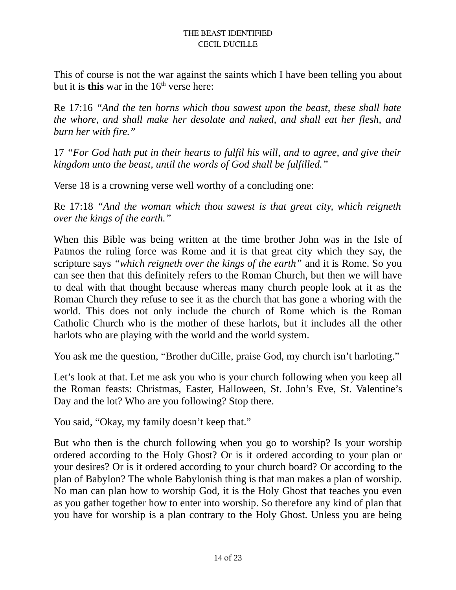This of course is not the war against the saints which I have been telling you about but it is **this** war in the 16<sup>th</sup> verse here:

Re 17:16 *"And the ten horns which thou sawest upon the beast, these shall hate the whore, and shall make her desolate and naked, and shall eat her flesh, and burn her with fire."*

17 *"For God hath put in their hearts to fulfil his will, and to agree, and give their kingdom unto the beast, until the words of God shall be fulfilled."*

Verse 18 is a crowning verse well worthy of a concluding one:

Re 17:18 *"And the woman which thou sawest is that great city, which reigneth over the kings of the earth."*

When this Bible was being written at the time brother John was in the Isle of Patmos the ruling force was Rome and it is that great city which they say, the scripture says *"which reigneth over the kings of the earth"* and it is Rome. So you can see then that this definitely refers to the Roman Church, but then we will have to deal with that thought because whereas many church people look at it as the Roman Church they refuse to see it as the church that has gone a whoring with the world. This does not only include the church of Rome which is the Roman Catholic Church who is the mother of these harlots, but it includes all the other harlots who are playing with the world and the world system.

You ask me the question, "Brother duCille, praise God, my church isn't harloting."

Let's look at that. Let me ask you who is your church following when you keep all the Roman feasts: Christmas, Easter, Halloween, St. John's Eve, St. Valentine's Day and the lot? Who are you following? Stop there.

You said, "Okay, my family doesn't keep that."

But who then is the church following when you go to worship? Is your worship ordered according to the Holy Ghost? Or is it ordered according to your plan or your desires? Or is it ordered according to your church board? Or according to the plan of Babylon? The whole Babylonish thing is that man makes a plan of worship. No man can plan how to worship God, it is the Holy Ghost that teaches you even as you gather together how to enter into worship. So therefore any kind of plan that you have for worship is a plan contrary to the Holy Ghost. Unless you are being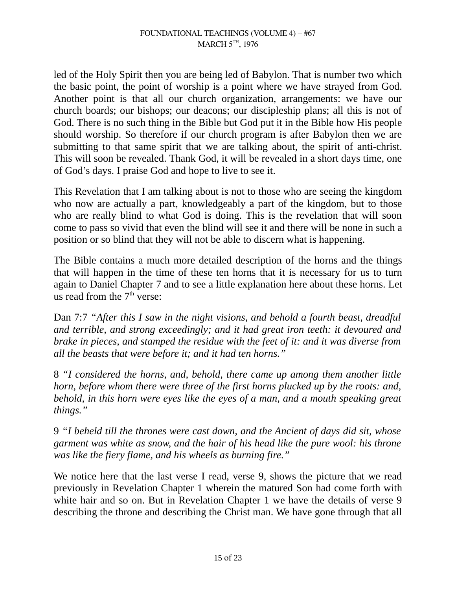led of the Holy Spirit then you are being led of Babylon. That is number two which the basic point, the point of worship is a point where we have strayed from God. Another point is that all our church organization, arrangements: we have our church boards; our bishops; our deacons; our discipleship plans; all this is not of God. There is no such thing in the Bible but God put it in the Bible how His people should worship. So therefore if our church program is after Babylon then we are submitting to that same spirit that we are talking about, the spirit of anti-christ. This will soon be revealed. Thank God, it will be revealed in a short days time, one of God's days. I praise God and hope to live to see it.

This Revelation that I am talking about is not to those who are seeing the kingdom who now are actually a part, knowledgeably a part of the kingdom, but to those who are really blind to what God is doing. This is the revelation that will soon come to pass so vivid that even the blind will see it and there will be none in such a position or so blind that they will not be able to discern what is happening.

The Bible contains a much more detailed description of the horns and the things that will happen in the time of these ten horns that it is necessary for us to turn again to Daniel Chapter 7 and to see a little explanation here about these horns. Let us read from the  $7<sup>th</sup>$  verse:

Dan 7:7 *"After this I saw in the night visions, and behold a fourth beast, dreadful and terrible, and strong exceedingly; and it had great iron teeth: it devoured and brake in pieces, and stamped the residue with the feet of it: and it was diverse from all the beasts that were before it; and it had ten horns."*

8 *"I considered the horns, and, behold, there came up among them another little horn, before whom there were three of the first horns plucked up by the roots: and, behold, in this horn were eyes like the eyes of a man, and a mouth speaking great things."*

9 *"I beheld till the thrones were cast down, and the Ancient of days did sit, whose garment was white as snow, and the hair of his head like the pure wool: his throne was like the fiery flame, and his wheels as burning fire."*

We notice here that the last verse I read, verse 9, shows the picture that we read previously in Revelation Chapter 1 wherein the matured Son had come forth with white hair and so on. But in Revelation Chapter 1 we have the details of verse 9 describing the throne and describing the Christ man. We have gone through that all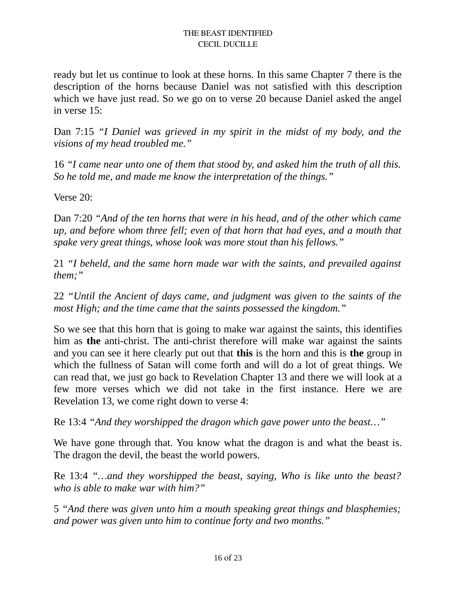ready but let us continue to look at these horns. In this same Chapter 7 there is the description of the horns because Daniel was not satisfied with this description which we have just read. So we go on to verse 20 because Daniel asked the angel in verse 15:

Dan 7:15 *"I Daniel was grieved in my spirit in the midst of my body, and the visions of my head troubled me."*

16 *"I came near unto one of them that stood by, and asked him the truth of all this. So he told me, and made me know the interpretation of the things."*

Verse 20:

Dan 7:20 *"And of the ten horns that were in his head, and of the other which came up, and before whom three fell; even of that horn that had eyes, and a mouth that spake very great things, whose look was more stout than his fellows."*

21 *"I beheld, and the same horn made war with the saints, and prevailed against them;"*

22 *"Until the Ancient of days came, and judgment was given to the saints of the most High; and the time came that the saints possessed the kingdom."*

So we see that this horn that is going to make war against the saints, this identifies him as **the** anti-christ. The anti-christ therefore will make war against the saints and you can see it here clearly put out that **this** is the horn and this is **the** group in which the fullness of Satan will come forth and will do a lot of great things. We can read that, we just go back to Revelation Chapter 13 and there we will look at a few more verses which we did not take in the first instance. Here we are Revelation 13, we come right down to verse 4:

Re 13:4 *"And they worshipped the dragon which gave power unto the beast…"*

We have gone through that. You know what the dragon is and what the beast is. The dragon the devil, the beast the world powers.

Re 13:4 *"…and they worshipped the beast, saying, Who is like unto the beast? who is able to make war with him?"*

5 *"And there was given unto him a mouth speaking great things and blasphemies; and power was given unto him to continue forty and two months."*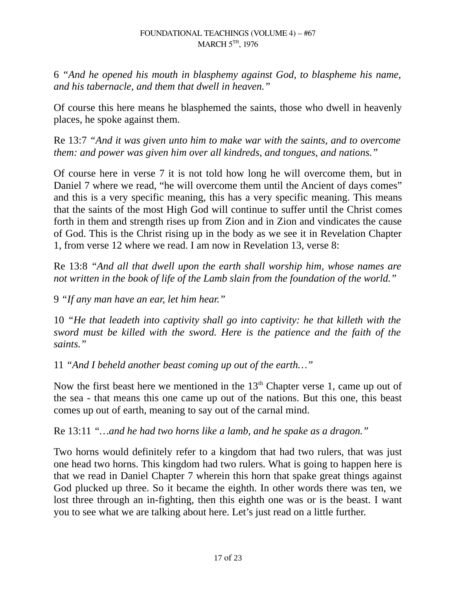6 *"And he opened his mouth in blasphemy against God, to blaspheme his name, and his tabernacle, and them that dwell in heaven."*

Of course this here means he blasphemed the saints, those who dwell in heavenly places, he spoke against them.

Re 13:7 *"And it was given unto him to make war with the saints, and to overcome them: and power was given him over all kindreds, and tongues, and nations."*

Of course here in verse 7 it is not told how long he will overcome them, but in Daniel 7 where we read, "he will overcome them until the Ancient of days comes" and this is a very specific meaning, this has a very specific meaning. This means that the saints of the most High God will continue to suffer until the Christ comes forth in them and strength rises up from Zion and in Zion and vindicates the cause of God. This is the Christ rising up in the body as we see it in Revelation Chapter 1, from verse 12 where we read. I am now in Revelation 13, verse 8:

Re 13:8 *"And all that dwell upon the earth shall worship him, whose names are not written in the book of life of the Lamb slain from the foundation of the world."*

9 *"If any man have an ear, let him hear."*

10 *"He that leadeth into captivity shall go into captivity: he that killeth with the sword must be killed with the sword. Here is the patience and the faith of the saints."*

11 *"And I beheld another beast coming up out of the earth…"*

Now the first beast here we mentioned in the  $13<sup>th</sup>$  Chapter verse 1, came up out of the sea - that means this one came up out of the nations. But this one, this beast comes up out of earth, meaning to say out of the carnal mind.

Re 13:11 *"…and he had two horns like a lamb, and he spake as a dragon."*

Two horns would definitely refer to a kingdom that had two rulers, that was just one head two horns. This kingdom had two rulers. What is going to happen here is that we read in Daniel Chapter 7 wherein this horn that spake great things against God plucked up three. So it became the eighth. In other words there was ten, we lost three through an in-fighting, then this eighth one was or is the beast. I want you to see what we are talking about here. Let's just read on a little further.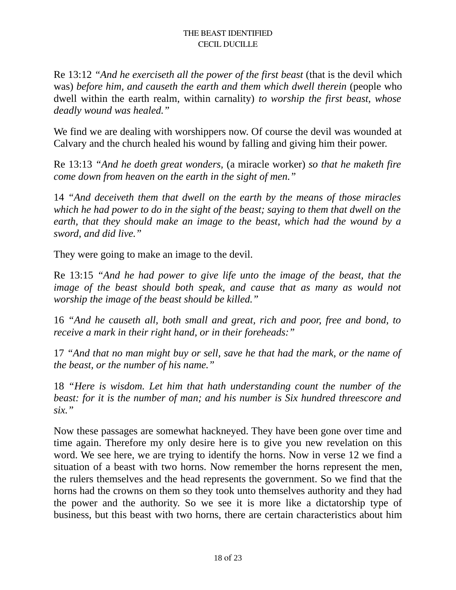Re 13:12 *"And he exerciseth all the power of the first beast* (that is the devil which was) before him, and causeth the earth and them which dwell therein (people who dwell within the earth realm, within carnality) *to worship the first beast, whose deadly wound was healed."*

We find we are dealing with worshippers now. Of course the devil was wounded at Calvary and the church healed his wound by falling and giving him their power.

Re 13:13 *"And he doeth great wonders,* (a miracle worker) *so that he maketh fire come down from heaven on the earth in the sight of men."*

14 *"And deceiveth them that dwell on the earth by the means of those miracles which he had power to do in the sight of the beast; saying to them that dwell on the earth, that they should make an image to the beast, which had the wound by a sword, and did live."*

They were going to make an image to the devil.

Re 13:15 *"And he had power to give life unto the image of the beast, that the image of the beast should both speak, and cause that as many as would not worship the image of the beast should be killed."*

16 *"And he causeth all, both small and great, rich and poor, free and bond, to receive a mark in their right hand, or in their foreheads:"*

17 *"And that no man might buy or sell, save he that had the mark, or the name of the beast, or the number of his name."*

18 *"Here is wisdom. Let him that hath understanding count the number of the beast: for it is the number of man; and his number is Six hundred threescore and six."*

Now these passages are somewhat hackneyed. They have been gone over time and time again. Therefore my only desire here is to give you new revelation on this word. We see here, we are trying to identify the horns. Now in verse 12 we find a situation of a beast with two horns. Now remember the horns represent the men, the rulers themselves and the head represents the government. So we find that the horns had the crowns on them so they took unto themselves authority and they had the power and the authority. So we see it is more like a dictatorship type of business, but this beast with two horns, there are certain characteristics about him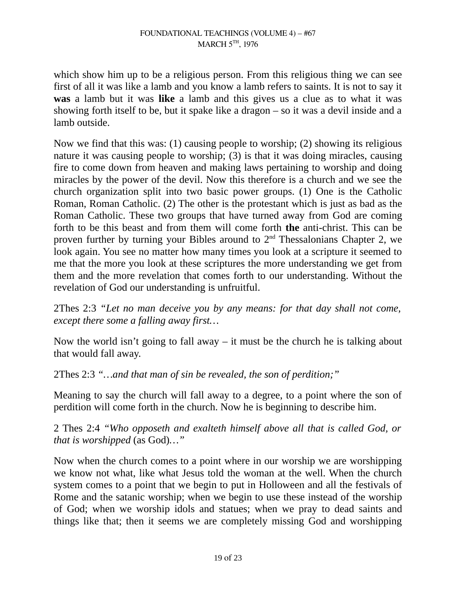which show him up to be a religious person. From this religious thing we can see first of all it was like a lamb and you know a lamb refers to saints. It is not to say it **was** a lamb but it was **like** a lamb and this gives us a clue as to what it was showing forth itself to be, but it spake like a dragon – so it was a devil inside and a lamb outside.

Now we find that this was: (1) causing people to worship; (2) showing its religious nature it was causing people to worship; (3) is that it was doing miracles, causing fire to come down from heaven and making laws pertaining to worship and doing miracles by the power of the devil. Now this therefore is a church and we see the church organization split into two basic power groups. (1) One is the Catholic Roman, Roman Catholic. (2) The other is the protestant which is just as bad as the Roman Catholic. These two groups that have turned away from God are coming forth to be this beast and from them will come forth **the** anti-christ. This can be proven further by turning your Bibles around to  $2<sup>nd</sup>$  Thessalonians Chapter 2, we look again. You see no matter how many times you look at a scripture it seemed to me that the more you look at these scriptures the more understanding we get from them and the more revelation that comes forth to our understanding. Without the revelation of God our understanding is unfruitful.

2Thes 2:3 *"Let no man deceive you by any means: for that day shall not come, except there some a falling away first…*

Now the world isn't going to fall away  $-$  it must be the church he is talking about that would fall away.

2Thes 2:3 *"…and that man of sin be revealed, the son of perdition;"*

Meaning to say the church will fall away to a degree, to a point where the son of perdition will come forth in the church. Now he is beginning to describe him.

2 Thes 2:4 *"Who opposeth and exalteth himself above all that is called God, or that is worshipped* (as God)*…"*

Now when the church comes to a point where in our worship we are worshipping we know not what, like what Jesus told the woman at the well. When the church system comes to a point that we begin to put in Holloween and all the festivals of Rome and the satanic worship; when we begin to use these instead of the worship of God; when we worship idols and statues; when we pray to dead saints and things like that; then it seems we are completely missing God and worshipping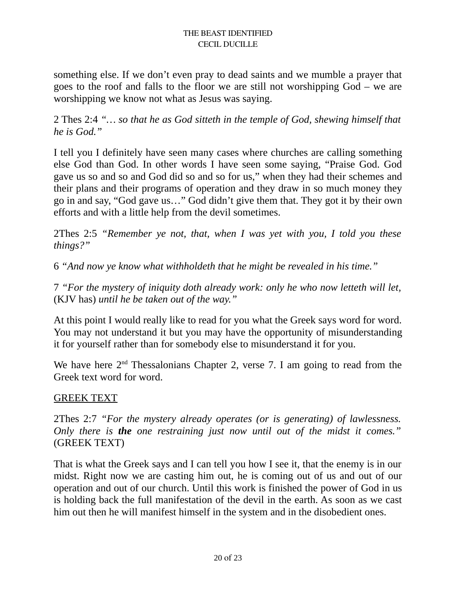something else. If we don't even pray to dead saints and we mumble a prayer that goes to the roof and falls to the floor we are still not worshipping God – we are worshipping we know not what as Jesus was saying.

2 Thes 2:4 *"… so that he as God sitteth in the temple of God, shewing himself that he is God."*

I tell you I definitely have seen many cases where churches are calling something else God than God. In other words I have seen some saying, "Praise God. God gave us so and so and God did so and so for us," when they had their schemes and their plans and their programs of operation and they draw in so much money they go in and say, "God gave us…" God didn't give them that. They got it by their own efforts and with a little help from the devil sometimes.

2Thes 2:5 *"Remember ye not, that, when I was yet with you, I told you these things?"*

6 *"And now ye know what withholdeth that he might be revealed in his time."*

7 *"For the mystery of iniquity doth already work: only he who now letteth will let,* (KJV has) *until he be taken out of the way."*

At this point I would really like to read for you what the Greek says word for word. You may not understand it but you may have the opportunity of misunderstanding it for yourself rather than for somebody else to misunderstand it for you.

We have here  $2<sup>nd</sup>$  Thessalonians Chapter 2, verse 7. I am going to read from the Greek text word for word.

# GREEK TEXT

2Thes 2:7 *"For the mystery already operates (or is generating) of lawlessness. Only there is the one restraining just now until out of the midst it comes."* (GREEK TEXT)

That is what the Greek says and I can tell you how I see it, that the enemy is in our midst. Right now we are casting him out, he is coming out of us and out of our operation and out of our church. Until this work is finished the power of God in us is holding back the full manifestation of the devil in the earth. As soon as we cast him out then he will manifest himself in the system and in the disobedient ones.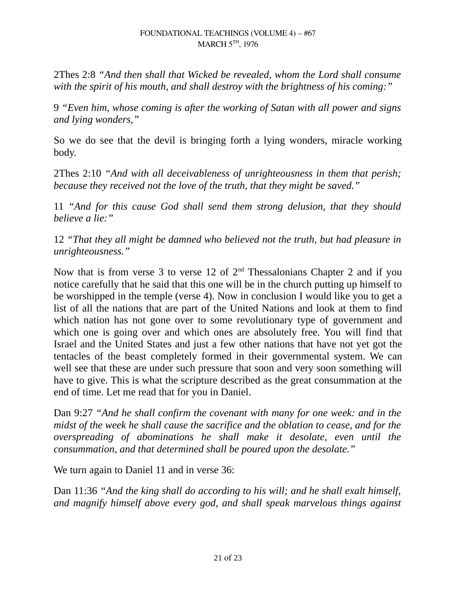2Thes 2:8 *"And then shall that Wicked be revealed, whom the Lord shall consume with the spirit of his mouth, and shall destroy with the brightness of his coming:"*

9 *"Even him, whose coming is after the working of Satan with all power and signs and lying wonders,"*

So we do see that the devil is bringing forth a lying wonders, miracle working body.

2Thes 2:10 *"And with all deceivableness of unrighteousness in them that perish; because they received not the love of the truth, that they might be saved."*

11 *"And for this cause God shall send them strong delusion, that they should believe a lie:"*

12 *"That they all might be damned who believed not the truth, but had pleasure in unrighteousness."*

Now that is from verse 3 to verse 12 of  $2<sup>nd</sup>$  Thessalonians Chapter 2 and if you notice carefully that he said that this one will be in the church putting up himself to be worshipped in the temple (verse 4). Now in conclusion I would like you to get a list of all the nations that are part of the United Nations and look at them to find which nation has not gone over to some revolutionary type of government and which one is going over and which ones are absolutely free. You will find that Israel and the United States and just a few other nations that have not yet got the tentacles of the beast completely formed in their governmental system. We can well see that these are under such pressure that soon and very soon something will have to give. This is what the scripture described as the great consummation at the end of time. Let me read that for you in Daniel.

Dan 9:27 *"And he shall confirm the covenant with many for one week: and in the midst of the week he shall cause the sacrifice and the oblation to cease, and for the overspreading of abominations he shall make it desolate, even until the consummation, and that determined shall be poured upon the desolate."*

We turn again to Daniel 11 and in verse 36:

Dan 11:36 *"And the king shall do according to his will; and he shall exalt himself, and magnify himself above every god, and shall speak marvelous things against*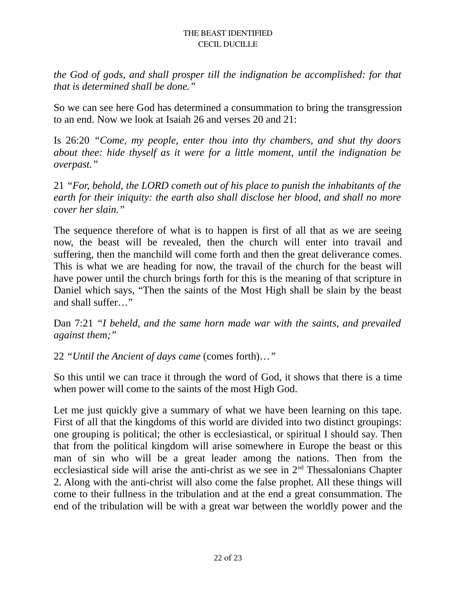*the God of gods, and shall prosper till the indignation be accomplished: for that that is determined shall be done."*

So we can see here God has determined a consummation to bring the transgression to an end. Now we look at Isaiah 26 and verses 20 and 21:

Is 26:20 *"Come, my people, enter thou into thy chambers, and shut thy doors about thee: hide thyself as it were for a little moment, until the indignation be overpast."*

21 *"For, behold, the LORD cometh out of his place to punish the inhabitants of the earth for their iniquity: the earth also shall disclose her blood, and shall no more cover her slain."*

The sequence therefore of what is to happen is first of all that as we are seeing now, the beast will be revealed, then the church will enter into travail and suffering, then the manchild will come forth and then the great deliverance comes. This is what we are heading for now, the travail of the church for the beast will have power until the church brings forth for this is the meaning of that scripture in Daniel which says, "Then the saints of the Most High shall be slain by the beast and shall suffer…"

Dan 7:21 *"I beheld, and the same horn made war with the saints, and prevailed against them;"*

22 *"Until the Ancient of days came* (comes forth)…*"*

So this until we can trace it through the word of God, it shows that there is a time when power will come to the saints of the most High God.

Let me just quickly give a summary of what we have been learning on this tape. First of all that the kingdoms of this world are divided into two distinct groupings: one grouping is political; the other is ecclesiastical, or spiritual I should say. Then that from the political kingdom will arise somewhere in Europe the beast or this man of sin who will be a great leader among the nations. Then from the ecclesiastical side will arise the anti-christ as we see in  $2<sup>nd</sup>$  Thessalonians Chapter 2. Along with the anti-christ will also come the false prophet. All these things will come to their fullness in the tribulation and at the end a great consummation. The end of the tribulation will be with a great war between the worldly power and the